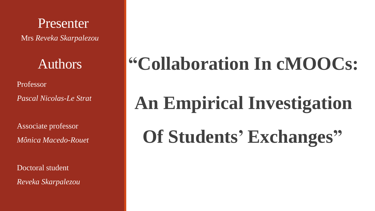Presenter Mrs *Reveka Skarpalezou*

Authors

Professor

*Pascal Nicolas-Le Strat*

Associate professor *Mônica Macedo-Rouet*

Doctoral student *Reveka Skarpalezou*

## **"Collaboration In cMOOCs:**

# **An Empirical Investigation**

**Of Students' Exchanges"**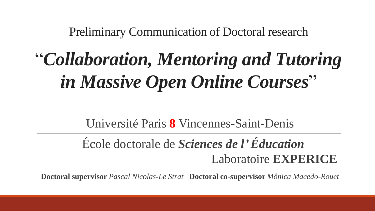Preliminary Communication of Doctoral research

## "*Collaboration, Mentoring and Tutoring in Massive Open Online Courses*"

Université Paris **8** Vincennes-Saint-Denis

### École doctorale de *Sciences de l' Éducation* Laboratoire **EXPERICE**

**Doctoral supervisor** *Pascal Nicolas-Le Strat* **Doctoral co-supervisor** *Mônica Macedo-Rouet*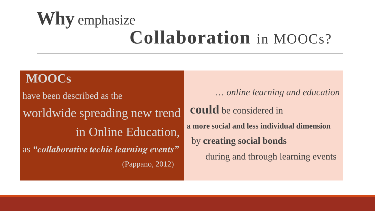## **Why** emphasize **Collaboration** in MOOCs?

### **MOOCs**

have been described as the worldwide spreading new trend in Online Education, as *"collaborative techie learning events"* (Pappano, 2012)

… *online learning and education* **could** be considered in **a more social and less individual dimension**  by **creating social bonds**  during and through learning events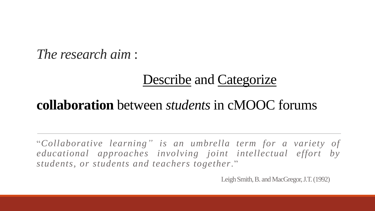### *The research aim* :

### Describe and Categorize

### **collaboration** between *students* in cMOOC forums

"*Collaborative learning" is an umbrella term for a variety of educational approaches involving joint intellectual effort by students, or students and teachers together*."

Leigh Smith, B. and MacGregor, J.T. (1992)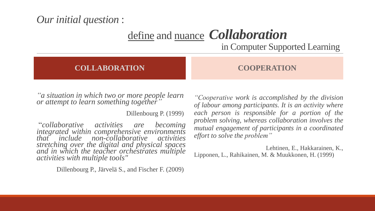### *Our initial question* :

define and nuance *Collaboration* 

in Computer Supported Learning

#### **COLLABORATION COOPERATION**

*"a situation in which two or more people learn or attempt to learn something together"*

Dillenbourg P. (1999)

"*collaborative activities are becoming integrated within comprehensive environments that include non-collaborative activities stretching over the digital and physical spaces and in which the teacher orchestrates multiple activities with multiple tools"*

Dillenbourg P., Järvelä S., and Fischer F. (2009)

*"Cooperative work is accomplished by the division of labour among participants. It is an activity where each person is responsible for a portion of the problem solving, whereas collaboration involves the mutual engagement of participants in a coordinated effort to solve the problem"*

Lehtinen, E., Hakkarainen, K., Lipponen, L., Rahikainen, M. & Muukkonen, H. (1999)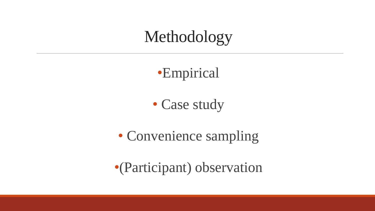Methodology

•Empirical

• Case study

• Convenience sampling

•(Participant) observation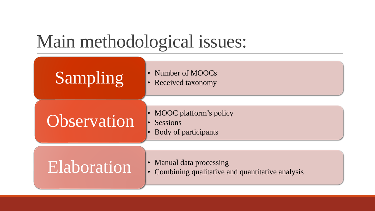## Main methodological issues:

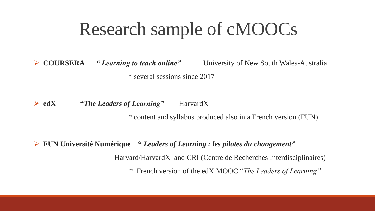## Research sample of cMOOCs

➢ **COURSERA** *" Learning to teach online"* University of New South Wales-Australia \* several sessions since 2017

➢ **edX "***The Leaders of Learning"* HarvardX

\* content and syllabus produced also in a French version (FUN)

➢ **FUN Université Numérique "** *Leaders of Learning : les pilotes du changement"* Harvard/HarvardX and CRI (Centre de Recherches Interdisciplinaires) \* French version of the edX MOOC "*The Leaders of Learning"*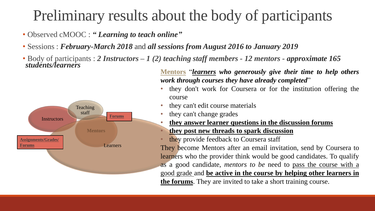### Preliminary results about the body of participants

- Observed cMOOC : *" Learning to teach online"*
- Sessions : *February-March 2018* and *all sessions from August 2016 to January 2019*
- Body of participants : *2 Instructors – 1 (2) teaching staff members - 12 mentors - approximate 165 students/learners*



**Mentors** "*learners who generously give their time to help others work through courses they have already completed*"

- they don't work for Coursera or for the institution offering the course
- they can't edit course materials
- they can't change grades
- **they answer learner questions in the discussion forums** • **they post new threads to spark discussion**
- they provide feedback to Coursera staff

They become Mentors after an email invitation, send by Coursera to learners who the provider think would be good candidates. To qualify as a good candidate, *mentors to be* need to pass the course with a good grade and **be active in the course by helping other learners in the forums**. They are invited to take a short training course.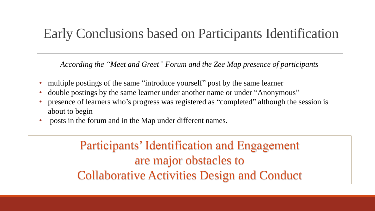### Early Conclusions based on Participants Identification

*According the "Meet and Greet" Forum and the Zee Map presence of participants*

- multiple postings of the same "introduce yourself" post by the same learner
- double postings by the same learner under another name or under "Anonymous"
- presence of learners who's progress was registered as "completed" although the session is about to begin
- posts in the forum and in the Map under different names.

Participants' Identification and Engagement are major obstacles to Collaborative Activities Design and Conduct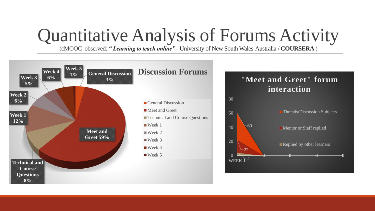## Quantitative Analysis of Forums Activity

(cMOOC observed: *" Learning to teach online"* **-** University of New South Wales-Australia / **COURSERA** )

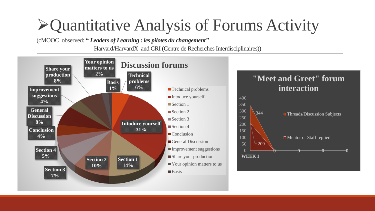### ➢Quantitative Analysis of Forums Activity

(cMOOC observed: **"** *Leaders of Learning : les pilotes du changement"*

Harvard/HarvardX and CRI (Centre de Recherches Interdisciplinaires))

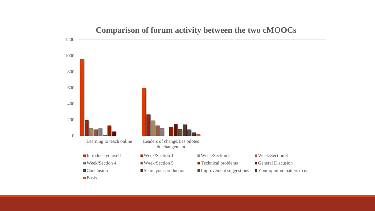

#### **Comparison of forum activity between the two cMOOCs**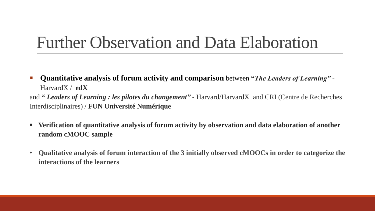### Further Observation and Data Elaboration

- **Quantitative analysis of forum activity and comparison** between **"***The Leaders of Learning" -* HarvardX / **edX** and **"** *Leaders of Learning : les pilotes du changement"* - Harvard/HarvardX and CRI (Centre de Recherches Interdisciplinaires) / **FUN Université Numérique**
- **Verification of quantitative analysis of forum activity by observation and data elaboration of another random cMOOC sample**
- **Qualitative analysis of forum interaction of the 3 initially observed cMOOCs in order to categorize the interactions of the learners**